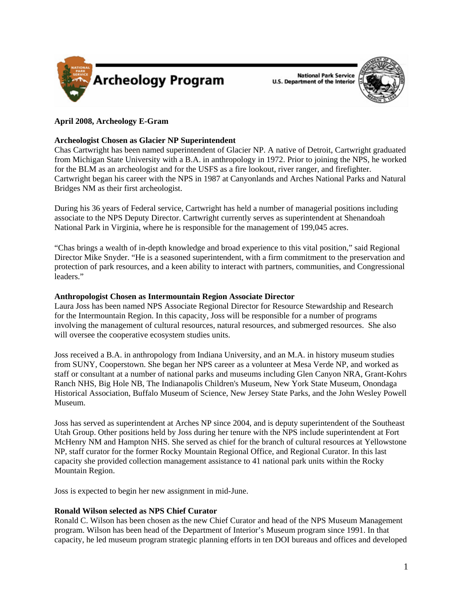

**National Park Service U.S. Department of the Interior** 



### **April 2008, Archeology E-Gram**

### **Archeologist Chosen as Glacier NP Superintendent**

Chas Cartwright has been named superintendent of Glacier NP. A native of Detroit, Cartwright graduated from Michigan State University with a B.A. in anthropology in 1972. Prior to joining the NPS, he worked for the BLM as an archeologist and for the USFS as a fire lookout, river ranger, and firefighter. Cartwright began his career with the NPS in 1987 at Canyonlands and Arches National Parks and Natural Bridges NM as their first archeologist.

During his 36 years of Federal service, Cartwright has held a number of managerial positions including associate to the NPS Deputy Director. Cartwright currently serves as superintendent at Shenandoah National Park in Virginia, where he is responsible for the management of 199,045 acres.

"Chas brings a wealth of in-depth knowledge and broad experience to this vital position," said Regional Director Mike Snyder. "He is a seasoned superintendent, with a firm commitment to the preservation and protection of park resources, and a keen ability to interact with partners, communities, and Congressional leaders."

#### **Anthropologist Chosen as Intermountain Region Associate Director**

Laura Joss has been named NPS Associate Regional Director for Resource Stewardship and Research for the Intermountain Region. In this capacity, Joss will be responsible for a number of programs involving the management of cultural resources, natural resources, and submerged resources. She also will oversee the cooperative ecosystem studies units.

Joss received a B.A. in anthropology from Indiana University, and an M.A. in history museum studies from SUNY, Cooperstown. She began her NPS career as a volunteer at Mesa Verde NP, and worked as staff or consultant at a number of national parks and museums including Glen Canyon NRA, Grant-Kohrs Ranch NHS, Big Hole NB, The Indianapolis Children's Museum, New York State Museum, Onondaga Historical Association, Buffalo Museum of Science, New Jersey State Parks, and the John Wesley Powell Museum.

Joss has served as superintendent at Arches NP since 2004, and is deputy superintendent of the Southeast Utah Group. Other positions held by Joss during her tenure with the NPS include superintendent at Fort McHenry NM and Hampton NHS. She served as chief for the branch of cultural resources at Yellowstone NP, staff curator for the former Rocky Mountain Regional Office, and Regional Curator. In this last capacity she provided collection management assistance to 41 national park units within the Rocky Mountain Region.

Joss is expected to begin her new assignment in mid-June.

### **Ronald Wilson selected as NPS Chief Curator**

Ronald C. Wilson has been chosen as the new Chief Curator and head of the NPS Museum Management program. Wilson has been head of the Department of Interior's Museum program since 1991. In that capacity, he led museum program strategic planning efforts in ten DOI bureaus and offices and developed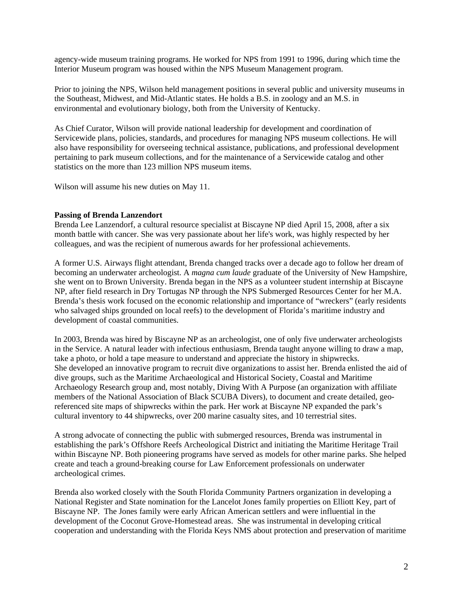agency-wide museum training programs. He worked for NPS from 1991 to 1996, during which time the Interior Museum program was housed within the NPS Museum Management program.

Prior to joining the NPS, Wilson held management positions in several public and university museums in the Southeast, Midwest, and Mid-Atlantic states. He holds a B.S. in zoology and an M.S. in environmental and evolutionary biology, both from the University of Kentucky.

As Chief Curator, Wilson will provide national leadership for development and coordination of Servicewide plans, policies, standards, and procedures for managing NPS museum collections. He will also have responsibility for overseeing technical assistance, publications, and professional development pertaining to park museum collections, and for the maintenance of a Servicewide catalog and other statistics on the more than 123 million NPS museum items.

Wilson will assume his new duties on May 11.

#### **Passing of Brenda Lanzendort**

Brenda Lee Lanzendorf, a cultural resource specialist at Biscayne NP died April 15, 2008, after a six month battle with cancer. She was very passionate about her life's work, was highly respected by her colleagues, and was the recipient of numerous awards for her professional achievements.

A former U.S. Airways flight attendant, Brenda changed tracks over a decade ago to follow her dream of becoming an underwater archeologist. A *magna cum laude* graduate of the University of New Hampshire, she went on to Brown University. Brenda began in the NPS as a volunteer student internship at Biscayne NP, after field research in Dry Tortugas NP through the NPS Submerged Resources Center for her M.A. Brenda's thesis work focused on the economic relationship and importance of "wreckers" (early residents who salvaged ships grounded on local reefs) to the development of Florida's maritime industry and development of coastal communities.

In 2003, Brenda was hired by Biscayne NP as an archeologist, one of only five underwater archeologists in the Service. A natural leader with infectious enthusiasm, Brenda taught anyone willing to draw a map, take a photo, or hold a tape measure to understand and appreciate the history in shipwrecks. She developed an innovative program to recruit dive organizations to assist her. Brenda enlisted the aid of dive groups, such as the Maritime Archaeological and Historical Society, Coastal and Maritime Archaeology Research group and, most notably, Diving With A Purpose (an organization with affiliate members of the National Association of Black SCUBA Divers), to document and create detailed, georeferenced site maps of shipwrecks within the park. Her work at Biscayne NP expanded the park's cultural inventory to 44 shipwrecks, over 200 marine casualty sites, and 10 terrestrial sites.

A strong advocate of connecting the public with submerged resources, Brenda was instrumental in establishing the park's Offshore Reefs Archeological District and initiating the Maritime Heritage Trail within Biscayne NP. Both pioneering programs have served as models for other marine parks. She helped create and teach a ground-breaking course for Law Enforcement professionals on underwater archeological crimes.

Brenda also worked closely with the South Florida Community Partners organization in developing a National Register and State nomination for the Lancelot Jones family properties on Elliott Key, part of Biscayne NP. The Jones family were early African American settlers and were influential in the development of the Coconut Grove-Homestead areas. She was instrumental in developing critical cooperation and understanding with the Florida Keys NMS about protection and preservation of maritime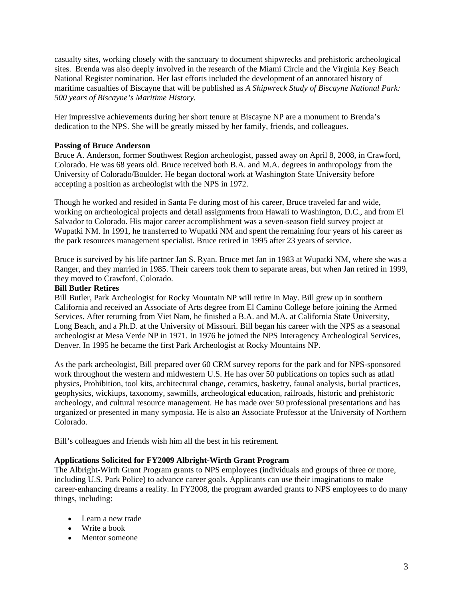casualty sites, working closely with the sanctuary to document shipwrecks and prehistoric archeological sites. Brenda was also deeply involved in the research of the Miami Circle and the Virginia Key Beach National Register nomination. Her last efforts included the development of an annotated history of maritime casualties of Biscayne that will be published as *A Shipwreck Study of Biscayne National Park: 500 years of Biscayne's Maritime History.* 

Her impressive achievements during her short tenure at Biscayne NP are a monument to Brenda's dedication to the NPS. She will be greatly missed by her family, friends, and colleagues.

#### **Passing of Bruce Anderson**

Bruce A. Anderson, former Southwest Region archeologist, passed away on April 8, 2008, in Crawford, Colorado. He was 68 years old. Bruce received both B.A. and M.A. degrees in anthropology from the University of Colorado/Boulder. He began doctoral work at Washington State University before accepting a position as archeologist with the NPS in 1972.

Though he worked and resided in Santa Fe during most of his career, Bruce traveled far and wide, working on archeological projects and detail assignments from Hawaii to Washington, D.C., and from El Salvador to Colorado. His major career accomplishment was a seven-season field survey project at Wupatki NM. In 1991, he transferred to Wupatki NM and spent the remaining four years of his career as the park resources management specialist. Bruce retired in 1995 after 23 years of service.

Bruce is survived by his life partner Jan S. Ryan. Bruce met Jan in 1983 at Wupatki NM, where she was a Ranger, and they married in 1985. Their careers took them to separate areas, but when Jan retired in 1999, they moved to Crawford, Colorado.

#### **Bill Butler Retires**

Bill Butler, Park Archeologist for Rocky Mountain NP will retire in May. Bill grew up in southern California and received an Associate of Arts degree from El Camino College before joining the Armed Services. After returning from Viet Nam, he finished a B.A. and M.A. at California State University, Long Beach, and a Ph.D. at the University of Missouri. Bill began his career with the NPS as a seasonal archeologist at Mesa Verde NP in 1971. In 1976 he joined the NPS Interagency Archeological Services, Denver. In 1995 he became the first Park Archeologist at Rocky Mountains NP.

As the park archeologist, Bill prepared over 60 CRM survey reports for the park and for NPS-sponsored work throughout the western and midwestern U.S. He has over 50 publications on topics such as atlatl physics, Prohibition, tool kits, architectural change, ceramics, basketry, faunal analysis, burial practices, geophysics, wickiups, taxonomy, sawmills, archeological education, railroads, historic and prehistoric archeology, and cultural resource management. He has made over 50 professional presentations and has organized or presented in many symposia. He is also an Associate Professor at the University of Northern Colorado.

Bill's colleagues and friends wish him all the best in his retirement.

#### **Applications Solicited for FY2009 Albright-Wirth Grant Program**

The Albright-Wirth Grant Program grants to NPS employees (individuals and groups of three or more, including U.S. Park Police) to advance career goals. Applicants can use their imaginations to make career-enhancing dreams a reality. In FY2008, the program awarded grants to NPS employees to do many things, including:

- Learn a new trade
- Write a book
- Mentor someone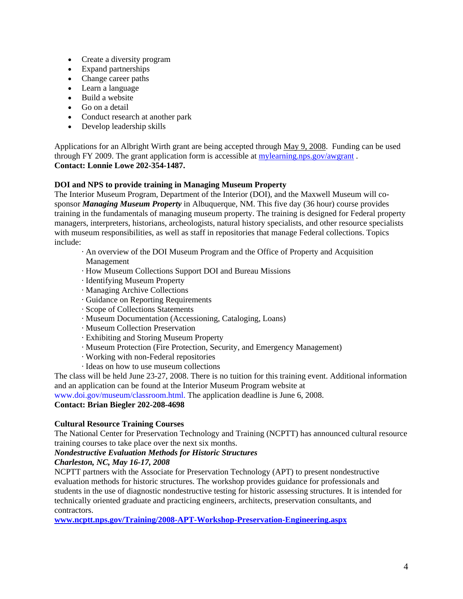- Create a diversity program
- Expand partnerships
- Change career paths
- Learn a language
- Build a website
- Go on a detail
- Conduct research at another park
- Develop leadership skills

Applications for an Albright Wirth grant are being accepted through May 9, 2008. Funding can be used through FY 2009. The grant application form is accessible at<mylearning.nps.gov/awgrant> . **Contact: Lonnie Lowe 202-354-1487.** 

### **DOI and NPS to provide training in Managing Museum Property**

The Interior Museum Program, Department of the Interior (DOI), and the Maxwell Museum will cosponsor *Managing Museum Property* in Albuquerque, NM. This five day (36 hour) course provides training in the fundamentals of managing museum property. The training is designed for Federal property managers, interpreters, historians, archeologists, natural history specialists, and other resource specialists with museum responsibilities, as well as staff in repositories that manage Federal collections. Topics include:

- · An overview of the DOI Museum Program and the Office of Property and Acquisition Management
- · How Museum Collections Support DOI and Bureau Missions
- · Identifying Museum Property
- · Managing Archive Collections
- · Guidance on Reporting Requirements
- · Scope of Collections Statements
- · Museum Documentation (Accessioning, Cataloging, Loans)
- · Museum Collection Preservation
- · Exhibiting and Storing Museum Property
- · Museum Protection (Fire Protection, Security, and Emergency Management)
- · Working with non-Federal repositories
- · Ideas on how to use museum collections

The class will be held June 23-27, 2008. There is no tuition for this training event. Additional information and an application can be found at the Interior Museum Program website at

[www.doi.gov/museum/classroom.html.](www.doi.gov/museum/classroom.html) The application deadline is June 6, 2008.

### **Contact: Brian Biegler 202-208-4698**

## **Cultural Resource Training Courses**

The National Center for Preservation Technology and Training (NCPTT) has announced cultural resource training courses to take place over the next six months.

### *Nondestructive Evaluation Methods for Historic Structures*

### *Charleston, NC, May 16-17, 2008*

NCPTT partners with the Associate for Preservation Technology (APT) to present nondestructive evaluation methods for historic structures. The workshop provides guidance for professionals and students in the use of diagnostic nondestructive testing for historic assessing structures. It is intended for technically oriented graduate and practicing engineers, architects, preservation consultants, and contractors.

**<www.ncptt.nps.gov/Training/2008-APT-Workshop-Preservation-Engineering.aspx>**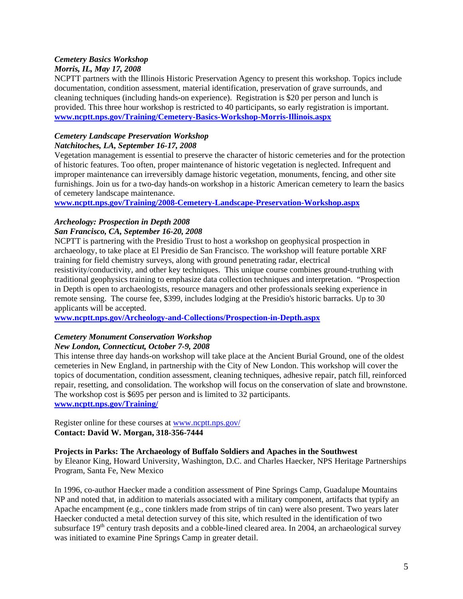# *Cemetery Basics Workshop*

## *Morris, IL, May 17, 2008*

NCPTT partners with the Illinois Historic Preservation Agency to present this workshop. Topics include documentation, condition assessment, material identification, preservation of grave surrounds, and cleaning techniques (including hands-on experience). Registration is \$20 per person and lunch is provided. This three hour workshop is restricted to 40 participants, so early registration is important. **<www.ncptt.nps.gov/Training/Cemetery-Basics-Workshop-Morris-Illinois.aspx>**

#### *Cemetery Landscape Preservation Workshop Natchitoches, LA, September 16-17, 2008*

Vegetation management is essential to preserve the character of historic cemeteries and for the protection of historic features. Too often, proper maintenance of historic vegetation is neglected. Infrequent and improper maintenance can irreversibly damage historic vegetation, monuments, fencing, and other site furnishings. Join us for a two-day hands-on workshop in a historic American cemetery to learn the basics of cemetery landscape maintenance.

**<www.ncptt.nps.gov/Training/2008-Cemetery-Landscape-Preservation-Workshop.aspx>**

# *Archeology: Prospection in Depth 2008*

### *San Francisco, CA, September 16-20, 2008*

NCPTT is partnering with the Presidio Trust to host a workshop on geophysical prospection in archaeology, to take place at El Presidio de San Francisco. The workshop will feature portable XRF training for field chemistry surveys, along with ground penetrating radar, electrical resistivity/conductivity, and other key techniques. This unique course combines ground-truthing with traditional geophysics training to emphasize data collection techniques and interpretation. "Prospection in Depth is open to archaeologists, resource managers and other professionals seeking experience in remote sensing. The course fee, \$399, includes lodging at the Presidio's historic barracks. Up to 30 applicants will be accepted.

**<www.ncptt.nps.gov/Archeology-and-Collections/Prospection-in-Depth.aspx>**

## *Cemetery Monument Conservation Workshop*

## *New London, Connecticut, October 7-9, 2008*

This intense three day hands-on workshop will take place at the Ancient Burial Ground, one of the oldest cemeteries in New England, in partnership with the City of New London. This workshop will cover the topics of documentation, condition assessment, cleaning techniques, adhesive repair, patch fill, reinforced repair, resetting, and consolidation. The workshop will focus on the conservation of slate and brownstone. The workshop cost is \$695 per person and is limited to 32 participants. **<www.ncptt.nps.gov/Training/>**

Register online for these courses at <www.ncptt.nps.gov/> **Contact: David W. Morgan, 318-356-7444** 

### **Projects in Parks: The Archaeology of Buffalo Soldiers and Apaches in the Southwest**

by Eleanor King, Howard University, Washington, D.C. and Charles Haecker, NPS Heritage Partnerships Program, Santa Fe, New Mexico

In 1996, co-author Haecker made a condition assessment of Pine Springs Camp, Guadalupe Mountains NP and noted that, in addition to materials associated with a military component, artifacts that typify an Apache encampment (e.g., cone tinklers made from strips of tin can) were also present. Two years later Haecker conducted a metal detection survey of this site, which resulted in the identification of two subsurface  $19<sup>th</sup>$  century trash deposits and a cobble-lined cleared area. In 2004, an archaeological survey was initiated to examine Pine Springs Camp in greater detail.